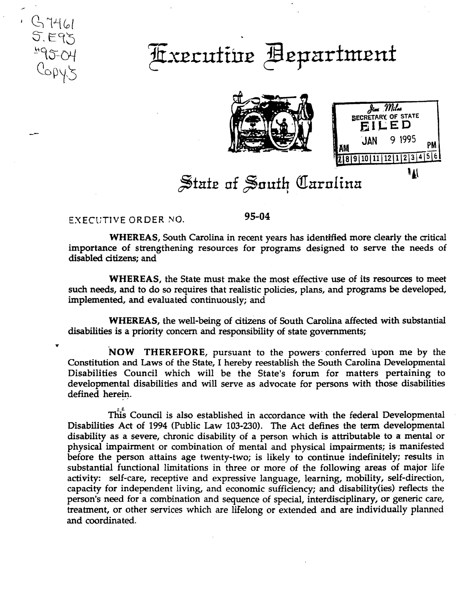## <u> Axecutive</u> Bepartment





## State of South Carolina

## EXECUTIVE ORDER NO.

S 7461<br>5. E95<br>495-04<br>Copy5

95-04

**WHEREAS**, South Carolina in recent years has identified more clearly the critical importance of strengthening resources for programs designed to serve the needs of disabled citizens; and

**WHEREAS**, the State must make the most effective use of its resources to meet such needs, and to do so requires that realistic policies, plans, and programs be developed, implemented, and evaluated continuously; and

WHEREAS, the well-being of citizens of South Carolina affected with substantial disabilities is a priority concern and responsibility of state governments;

NOW THEREFORE, pursuant to the powers conferred upon me by the Constitution and Laws of the State, I hereby reestablish the South Carolina Developmental Disabilities Council which will be the State's forum for matters pertaining to developmental disabilities and will serve as advocate for persons with those disabilities defined herein.

This Council is also established in accordance with the federal Developmental Disabilities Act of 1994 (Public Law 103-230). The Act defines the term developmental disability as a severe, chronic disability of a person which is attributable to a mental or physical impairment or combination of mental and physical impairments; is manifested before the person attains age twenty-two; is likely to continue indefinitely; results in substantial functional limitations in three or more of the following areas of major life activity: self-care, receptive and expressive language, learning, mobility, self-direction, capacity for independent living, and economic sufficiency; and disability (ies) reflects the person's need for a combination and sequence of special, interdisciplinary, or generic care, treatment, or other services which are lifelong or extended and are individually planned and coordinated.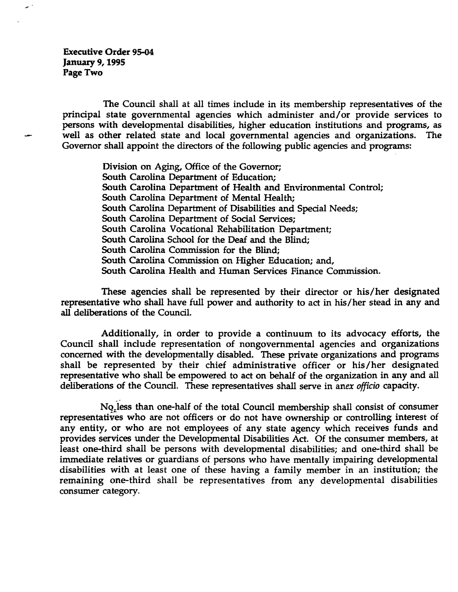Executive Order 95-04 January 9, 1995 Page Two

The Council shall at all times include in its membership representatives of the principal state governmental agencies which administer and/or provide services to persons with developmental disabilities, higher education institutions and programs, as well as other related state and local governmental agencies and organizations. The Governor shall appoint the directors of the following public agencies and programs:

> Division on Aging, Office of the Governor; South Carolina Department of Education; South Carolina Department of Health and Environmental Control; South Carolina Department of Mental Health; South Carolina Department of Disabilities and Special Needs; South Carolina Department of Social Services; South Carolina Vocational Rehabilitation Department; South Carolina School for the Deaf and the Blind; South Carolina Commission for the Blind; South Carolina Commission on Higher Education; and, South Carolina Health and Human Services Finance Commission.

These agencies shall be represented by their director or his/her designated representative who shall have full power and authority to act in his/her stead in any and all deliberations of the Council.

Additionally, in order to provide a continuum to its advocacy efforts, the Council shall include representation of nongovernmental agencies and organizations concerned with the developmentally disabled. These private organizations and programs shall be represented by their chief administrative officer or his /her designated representative who shall be empowered to act on behalf of the organization in any and all deliberations of the Council. These representatives shall serve in anex *officio* capacity .

No<sub>z</sub>less than one-half of the total Council membership shall consist of consumer representatives who are not officers or do not have ownership or controlling interest of any entity, or who are not employees of any state agency which receives funds and provides services under the Developmental Disabilities Act. Of the consumer members, at least one-third shall be persons with developmental disabilities; and one-third shall be immediate relatives or guardians of persons who have mentally impairing developmental disabilities with at least one of these having a family member in an institution; the remaining one-third shall be representatives from any developmental disabilities consumer category.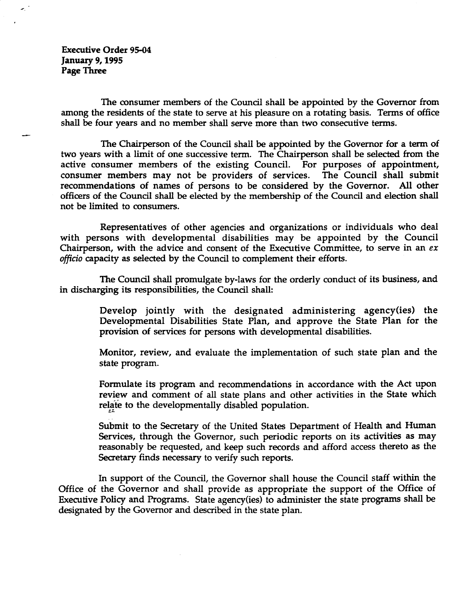Executive Order 95-04 January 9,1995 Page Three

 $\mathcal{L}_{\mathcal{L}}$ 

The consumer members of the Council shall be appointed by the Governor from among the residents of the state to serve at his pleasure on a rotating basis. Terms of office shall be four years and no member shall serve more than two consecutive terms.

The Chairperson of the Council shall be appointed by the Governor for a term of two years with a limit of one successive term. The Chairperson shall be selected from the active consumer members of the existing Council. For purposes of appointment, consumer members may not be providers of services. The Council shall submit recommendations of names of persons to be considered by the Governor. All other officers of the Council shall be elected by the membership of the Council and election shall not be limited to consumers.

Representatives of other agencies and organizations or individuals who deal with persons with developmental disabilities may be appointed by the Council Chairperson, with the advice and consent of the Executive Committee, to serve in an *ex officio* capacity as selected by the Council to complement their efforts.

The Council shall promulgate by-laws for the orderly conduct of its business, and in discharging its responsibilities, the Council shall:

> Develop jointly with the designated administering agency(ies) the Developmental Disabilities State Plan, and approve the State Plan for the provision of services for persons with developmental disabilities.

> Monitor, review, and evaluate the implementation of such state plan and the state program.

> Formulate its program and recommendations in accordance with the Act upon review and comment of all state plans and other activities in the State which relate to the developmentally disabled population.

> Submit to the Secretary of the United States Department of Health and Human Services, through the Governor, such periodic reports on its activities as may reasonably be requested, and keep such records and afford access thereto as the Secretary finds necessary to verify such reports.

In support of the Council, the Governor shall house the Council staff within the Office of the Governor and shall provide as appropriate the support of the Office of Executive Policy and Programs. State agency(ies) to administer the state programs shall be designated by the Governor and described in the state plan.